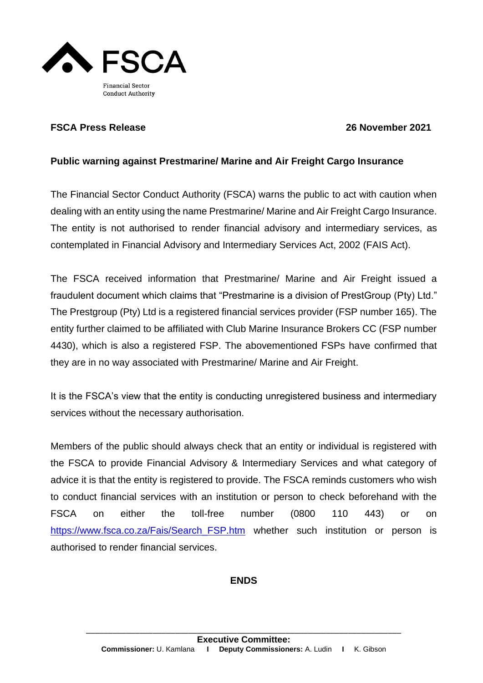

## **FSCA Press Release 26 November 2021**

## **Public warning against Prestmarine/ Marine and Air Freight Cargo Insurance**

The Financial Sector Conduct Authority (FSCA) warns the public to act with caution when dealing with an entity using the name Prestmarine/ Marine and Air Freight Cargo Insurance. The entity is not authorised to render financial advisory and intermediary services, as contemplated in Financial Advisory and Intermediary Services Act, 2002 (FAIS Act).

The FSCA received information that Prestmarine/ Marine and Air Freight issued a fraudulent document which claims that "Prestmarine is a division of PrestGroup (Pty) Ltd." The Prestgroup (Pty) Ltd is a registered financial services provider (FSP number 165). The entity further claimed to be affiliated with Club Marine Insurance Brokers CC (FSP number 4430), which is also a registered FSP. The abovementioned FSPs have confirmed that they are in no way associated with Prestmarine/ Marine and Air Freight.

It is the FSCA's view that the entity is conducting unregistered business and intermediary services without the necessary authorisation.

Members of the public should always check that an entity or individual is registered with the FSCA to provide Financial Advisory & Intermediary Services and what category of advice it is that the entity is registered to provide. The FSCA reminds customers who wish to conduct financial services with an institution or person to check beforehand with the FSCA on either the toll-free number (0800 110 443) or on [https://www.fsca.co.za/Fais/Search\\_FSP.htm](https://www.fsca.co.za/Fais/Search_FSP.htm) whether such institution or person is authorised to render financial services.

## **ENDS**